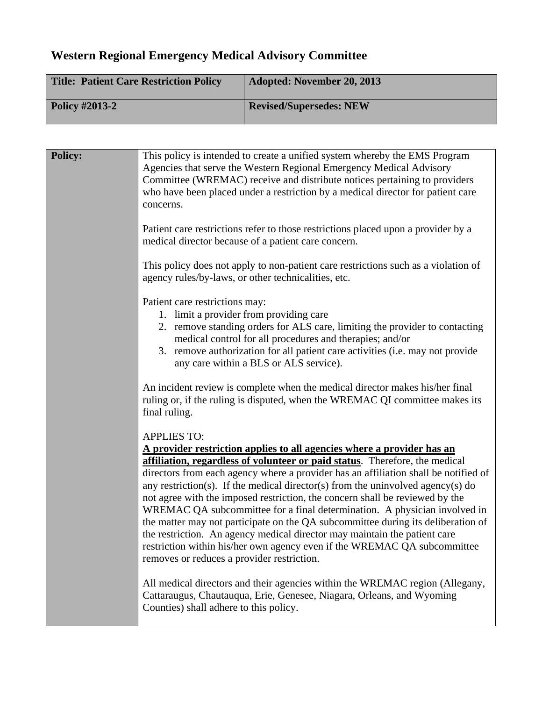## **Western Regional Emergency Medical Advisory Committee**

| <b>Title: Patient Care Restriction Policy</b> | <b>Adopted: November 20, 2013</b> |
|-----------------------------------------------|-----------------------------------|
| <b>Policy #2013-2</b>                         | <b>Revised/Supersedes: NEW</b>    |

| <b>Policy:</b> | This policy is intended to create a unified system whereby the EMS Program<br>Agencies that serve the Western Regional Emergency Medical Advisory<br>Committee (WREMAC) receive and distribute notices pertaining to providers<br>who have been placed under a restriction by a medical director for patient care<br>concerns.<br>Patient care restrictions refer to those restrictions placed upon a provider by a<br>medical director because of a patient care concern.                                                                                                                                                                                                                                                                                                                                    |
|----------------|---------------------------------------------------------------------------------------------------------------------------------------------------------------------------------------------------------------------------------------------------------------------------------------------------------------------------------------------------------------------------------------------------------------------------------------------------------------------------------------------------------------------------------------------------------------------------------------------------------------------------------------------------------------------------------------------------------------------------------------------------------------------------------------------------------------|
|                | This policy does not apply to non-patient care restrictions such as a violation of<br>agency rules/by-laws, or other technicalities, etc.                                                                                                                                                                                                                                                                                                                                                                                                                                                                                                                                                                                                                                                                     |
|                | Patient care restrictions may:<br>1. limit a provider from providing care<br>2. remove standing orders for ALS care, limiting the provider to contacting<br>medical control for all procedures and therapies; and/or<br>3. remove authorization for all patient care activities (i.e. may not provide<br>any care within a BLS or ALS service).                                                                                                                                                                                                                                                                                                                                                                                                                                                               |
|                | An incident review is complete when the medical director makes his/her final<br>ruling or, if the ruling is disputed, when the WREMAC QI committee makes its<br>final ruling.                                                                                                                                                                                                                                                                                                                                                                                                                                                                                                                                                                                                                                 |
|                | <b>APPLIES TO:</b><br>A provider restriction applies to all agencies where a provider has an<br>affiliation, regardless of volunteer or paid status. Therefore, the medical<br>directors from each agency where a provider has an affiliation shall be notified of<br>any restriction(s). If the medical director(s) from the uninvolved agency(s) do<br>not agree with the imposed restriction, the concern shall be reviewed by the<br>WREMAC QA subcommittee for a final determination. A physician involved in<br>the matter may not participate on the QA subcommittee during its deliberation of<br>the restriction. An agency medical director may maintain the patient care<br>restriction within his/her own agency even if the WREMAC QA subcommittee<br>removes or reduces a provider restriction. |
|                | All medical directors and their agencies within the WREMAC region (Allegany,<br>Cattaraugus, Chautauqua, Erie, Genesee, Niagara, Orleans, and Wyoming<br>Counties) shall adhere to this policy.                                                                                                                                                                                                                                                                                                                                                                                                                                                                                                                                                                                                               |